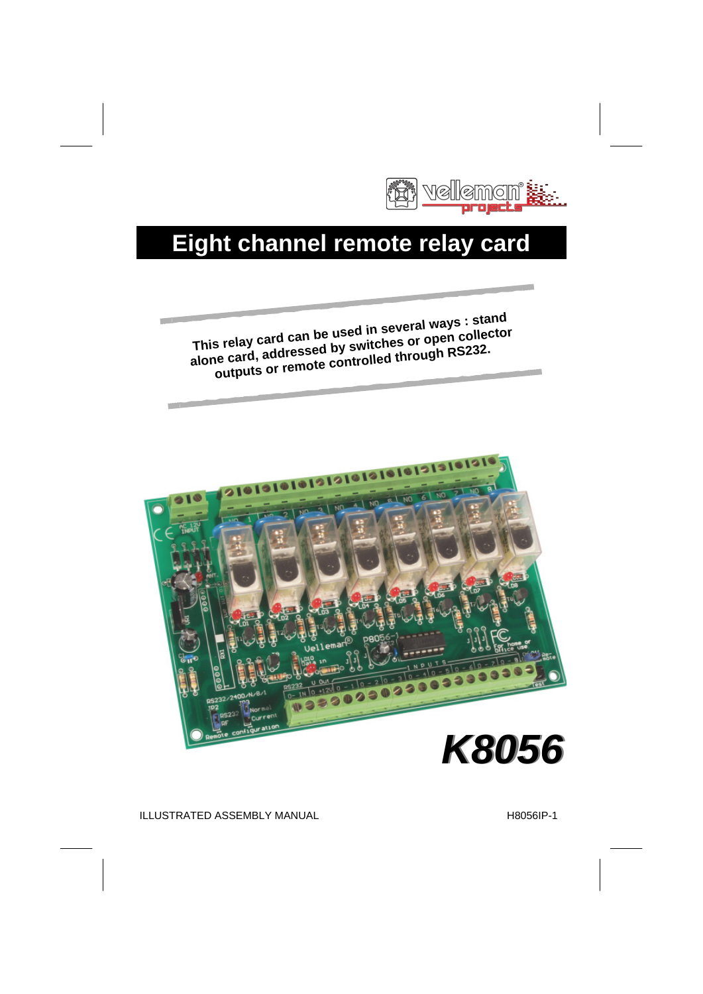

## **Eight channel remote relay card**

**This relay card can be used in severa<sup>l</sup> ways : stand alone card, addressed by switches or open collector outputs or remote controlled throug<sup>h</sup> RS232.**

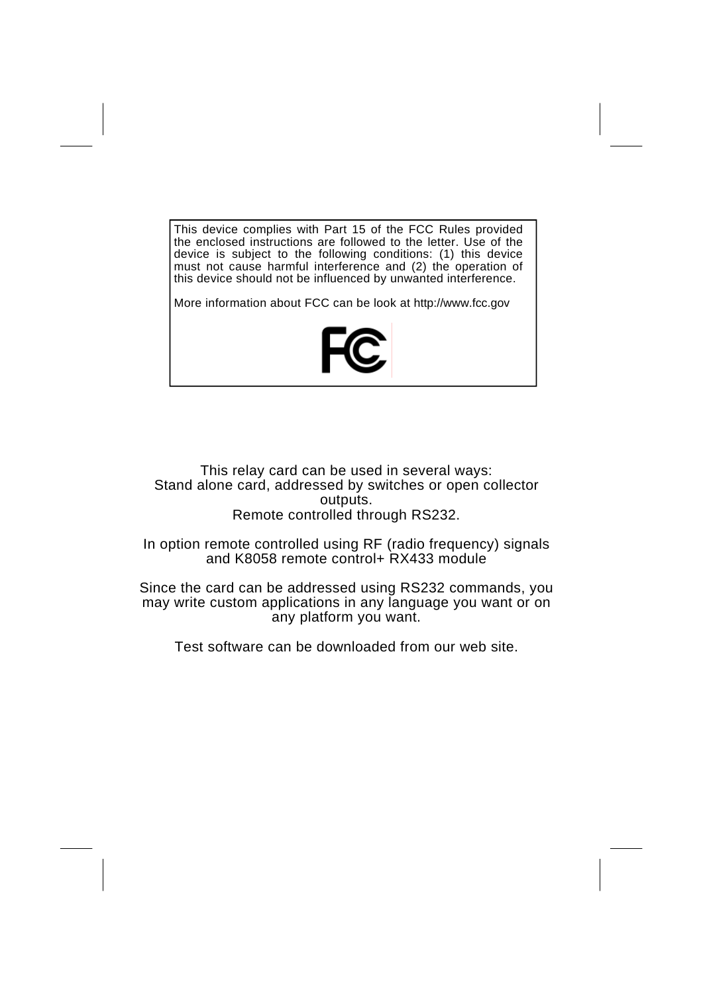This device complies with Part 15 of the FCC Rules provided the enclosed instructions are followed to the letter. Use of the device is subject to the following conditions: (1) this device must not cause harmful interference and (2) the operation of this device should not be influenced by unwanted interference.

More information about FCC can be look at http://www.fcc.gov



This relay card can be used in several ways: Stand alone card, addressed by switches or open collector outputs. Remote controlled through RS232.

In option remote controlled using RF (radio frequency) signals and K8058 remote control+ RX433 module

Since the card can be addressed using RS232 commands, you may write custom applications in any language you want or on any platform you want.

Test software can be downloaded from our web site.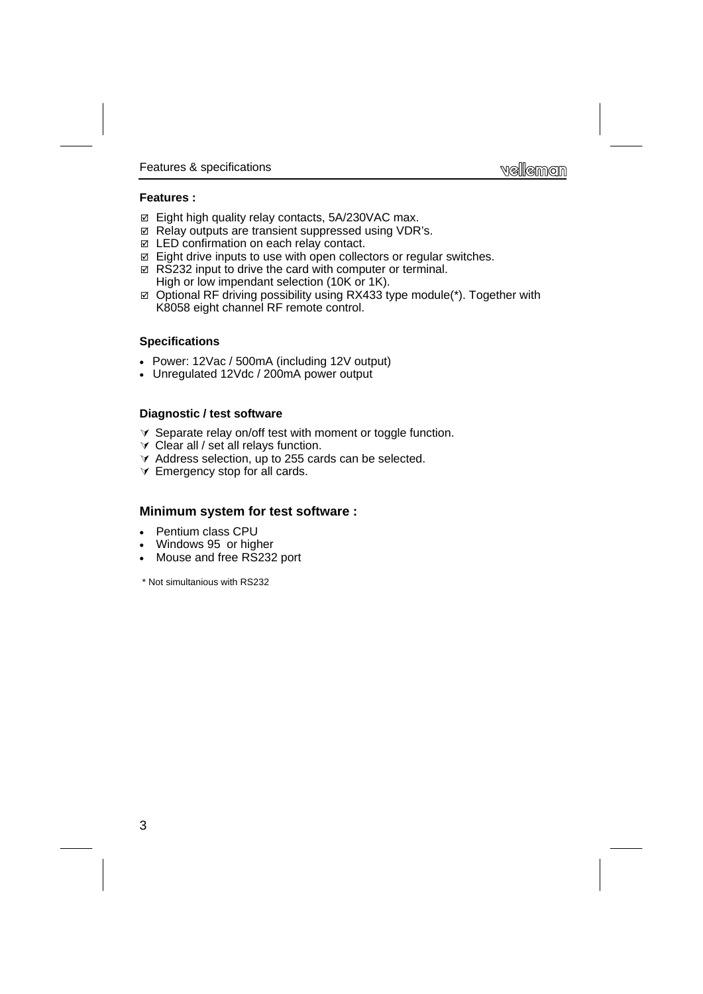#### **Features :**

- Eight high quality relay contacts, 5A/230VAC max.
- Relay outputs are transient suppressed using VDR's.
- LED confirmation on each relay contact.
- $\boxtimes$  Eight drive inputs to use with open collectors or regular switches.
- RS232 input to drive the card with computer or terminal. High or low impendant selection (10K or 1K).
- $\boxtimes$  Optional RF driving possibility using RX433 type module(\*). Together with K8058 eight channel RF remote control.

#### **Specifications**

- Power: 12Vac / 500mA (including 12V output)
- Unregulated 12Vdc / 200mA power output

#### **Diagnostic / test software**

- Separate relay on/off test with moment or toggle function.
- $\vee$  Clear all / set all relays function.
- $\forall$  Address selection, up to 255 cards can be selected.
- $\forall$  Emergency stop for all cards.

#### **Minimum system for test software :**

- Pentium class CPU
- Windows 95 or higher
- Mouse and free RS232 port

\* Not simultanious with RS232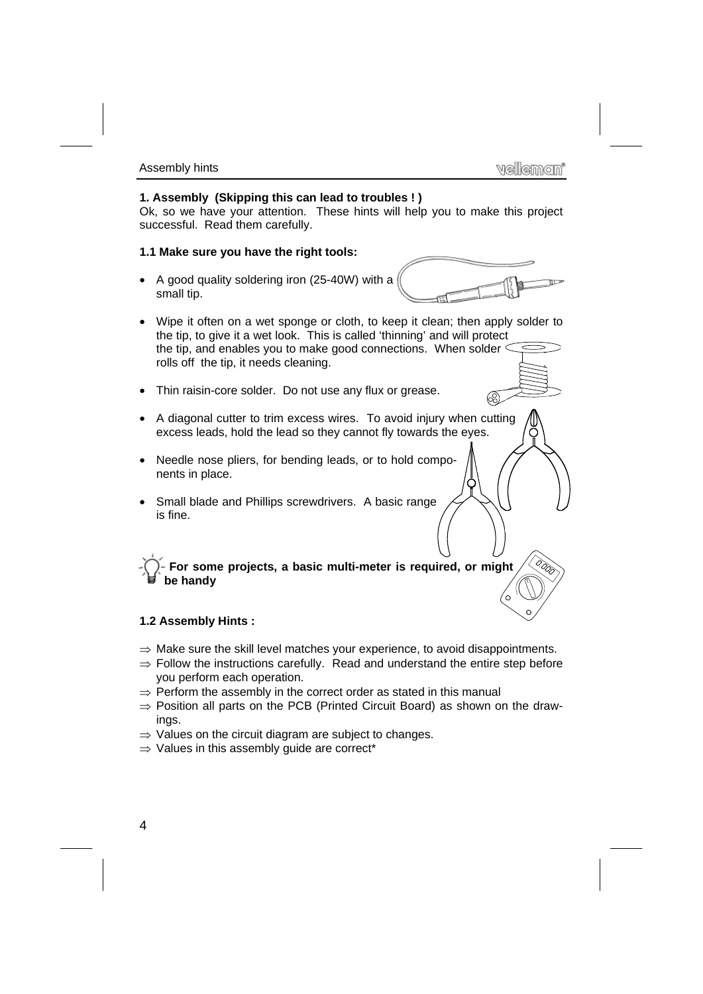0.000

ہ '

#### **1. Assembly (Skipping this can lead to troubles ! )**

Ok, so we have your attention. These hints will help you to make this project successful. Read them carefully.

#### **1.1 Make sure you have the right tools:**

 A good quality soldering iron (25-40W) with a small tip.



- Wipe it often on a wet sponge or cloth, to keep it clean; then apply solder to the tip, to give it a wet look. This is called 'thinning' and will protect the tip, and enables you to make good connections. When solder  $\leq$ rolls off the tip, it needs cleaning.
- Thin raisin-core solder. Do not use any flux or grease.
- A diagonal cutter to trim excess wires. To avoid injury when cutting excess leads, hold the lead so they cannot fly towards the eyes.
- Needle nose pliers, for bending leads, or to hold components in place.
- Small blade and Phillips screwdrivers. A basic range is fine.

#### **For some projects, a basic multi-meter is required, or might be handy**

#### **1.2 Assembly Hints :**

- $\Rightarrow$  Make sure the skill level matches your experience, to avoid disappointments.
- $\Rightarrow$  Follow the instructions carefully. Read and understand the entire step before you perform each operation.
- $\Rightarrow$  Perform the assembly in the correct order as stated in this manual
- $\Rightarrow$  Position all parts on the PCB (Printed Circuit Board) as shown on the drawings.
- $\Rightarrow$  Values on the circuit diagram are subject to changes.
- $\Rightarrow$  Values in this assembly quide are correct\*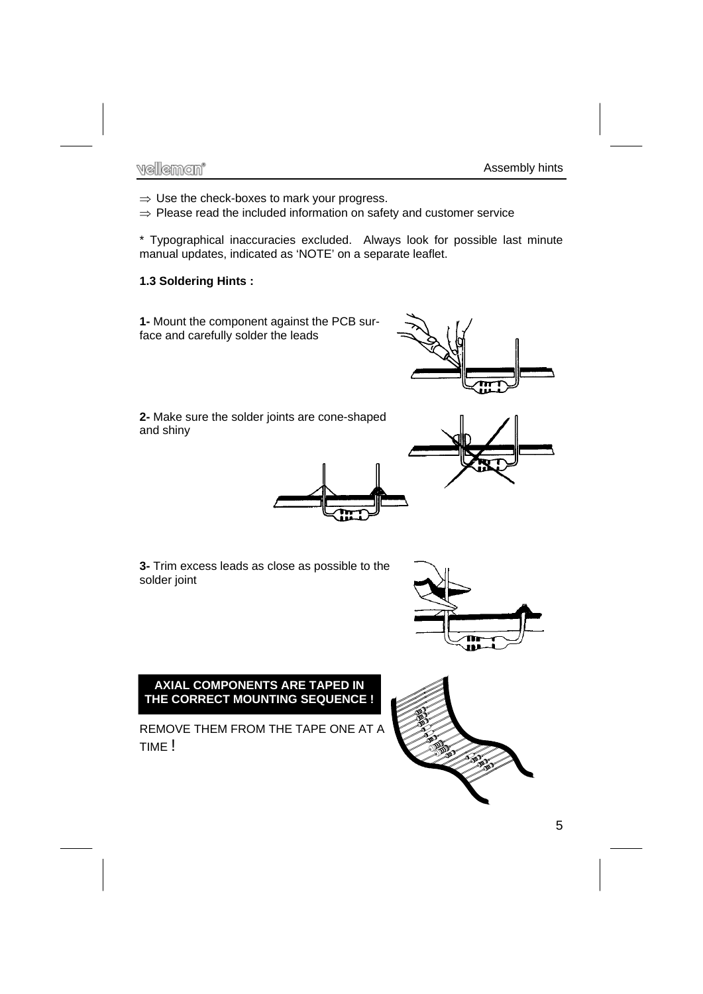- $\Rightarrow$  Use the check-boxes to mark your progress.
- $\Rightarrow$  Please read the included information on safety and customer service

\* Typographical inaccuracies excluded. Always look for possible last minute manual updates, indicated as 'NOTE' on a separate leaflet.

#### **1.3 Soldering Hints :**

**1-** Mount the component against the PCB surface and carefully solder the leads

**2-** Make sure the solder joints are cone-shaped and shiny







**3-** Trim excess leads as close as possible to the solder joint



## **AXIAL COMPONENTS ARE TAPED IN THE CORRECT MOUNTING SEQUENCE !**

REMOVE THEM FROM THE TAPE ONE AT A TIME !

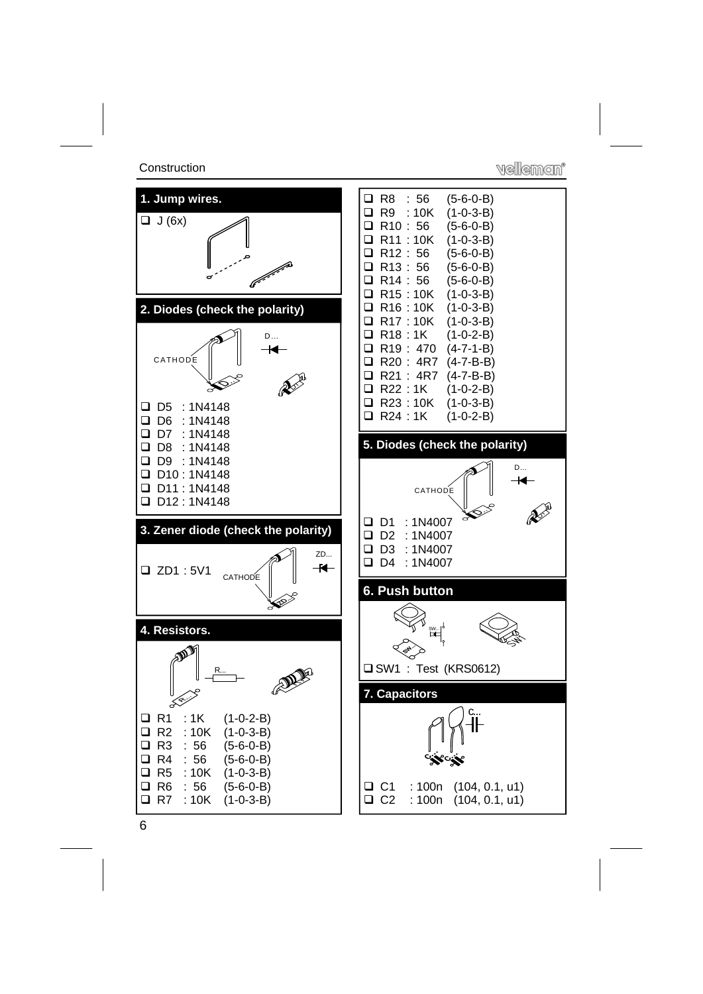#### **Construction**

velleman'

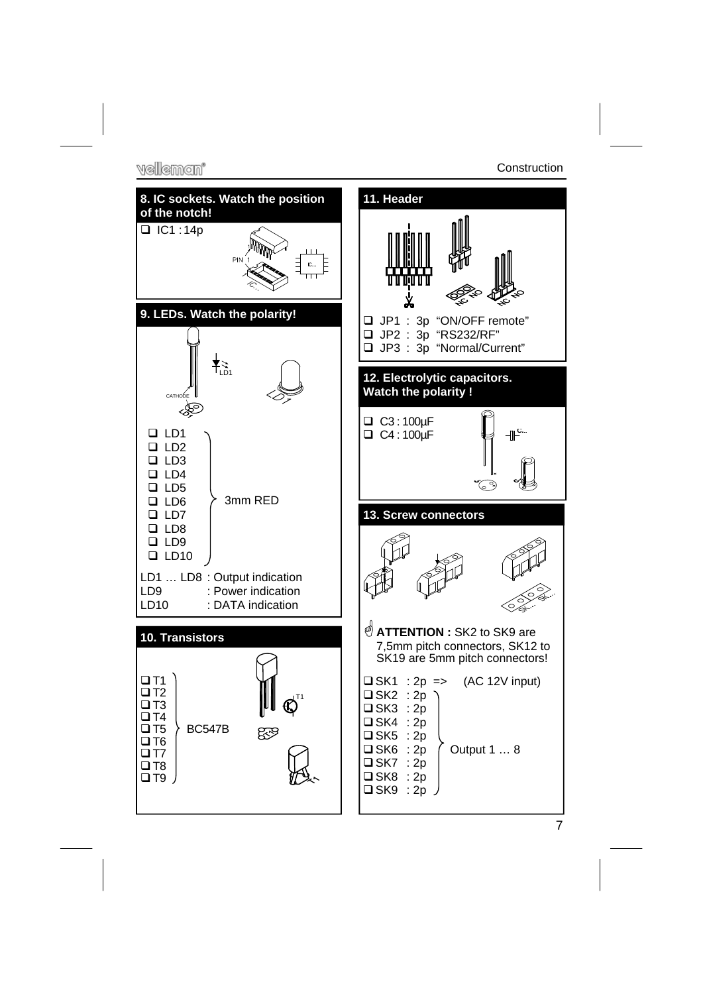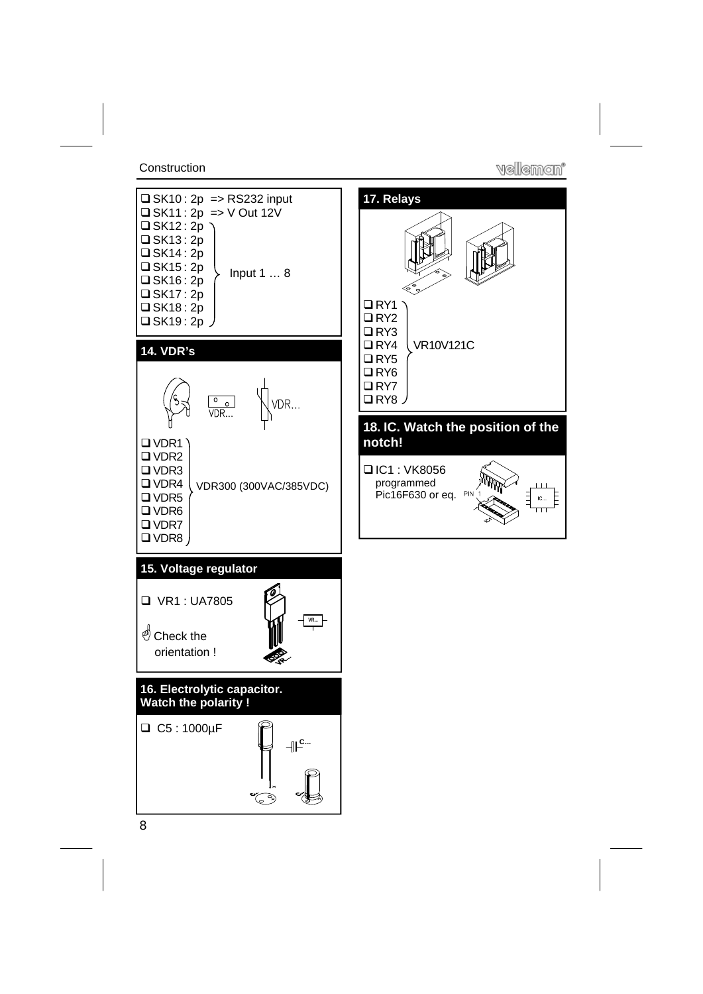#### **Construction**

## velleman'

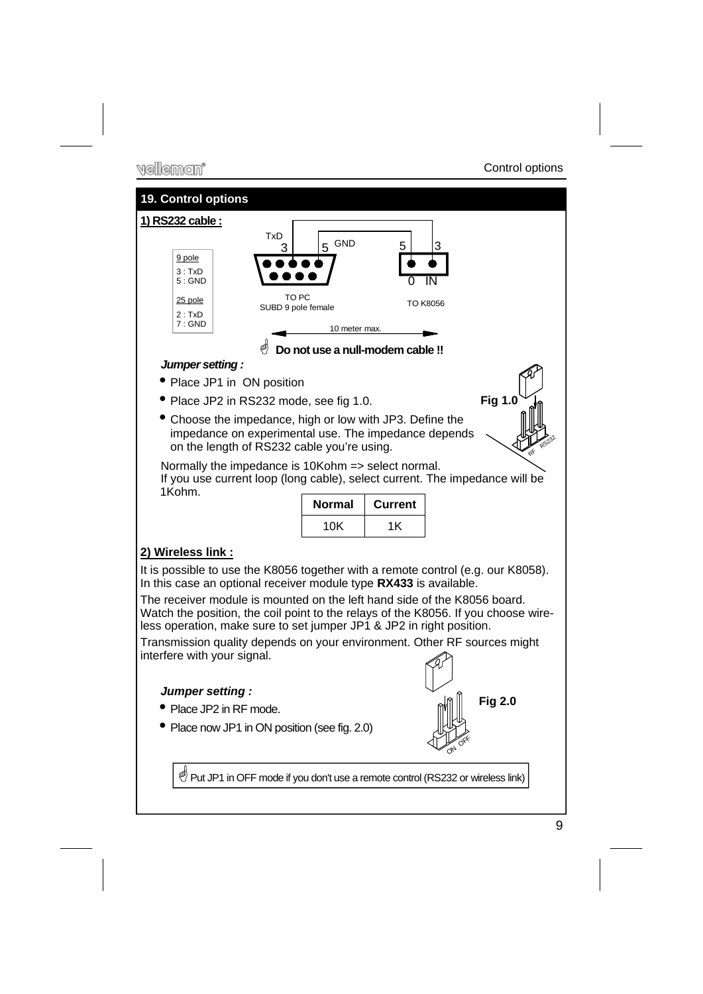

#### *Jumper setting :*

- Place JP2 in RF mode.
- Place now JP1 in ON position (see fig. 2.0)

 $\mathcal{O}$  Put JP1 in OFF mode if you don't use a remote control (RS232 or wireless link)

ON OFF

**Fig 2.0**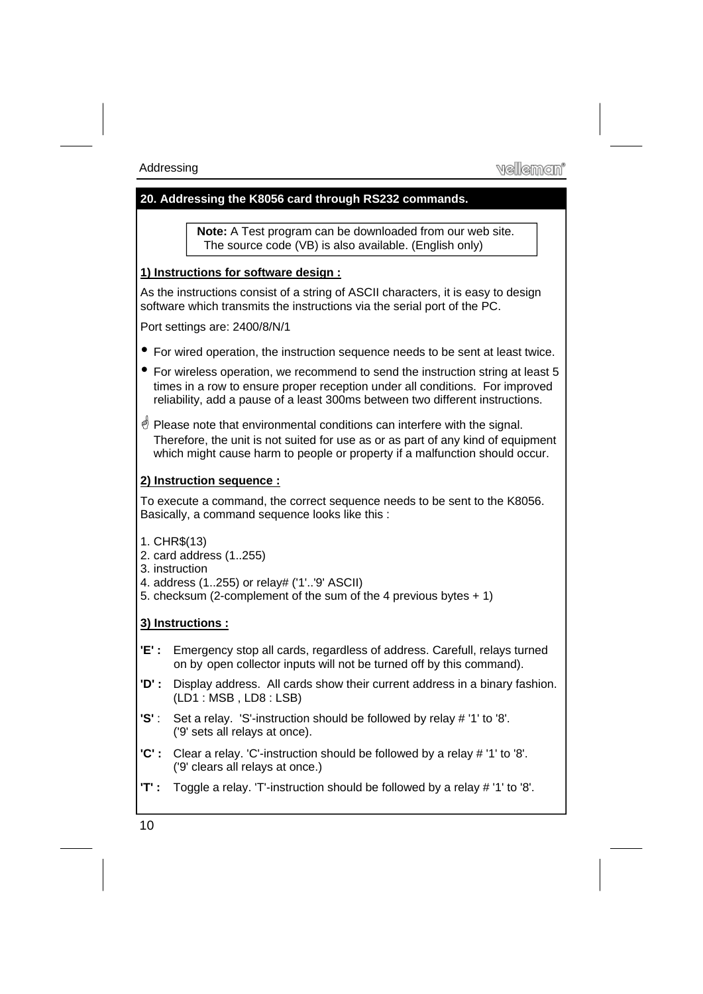#### **20. Addressing the K8056 card through RS232 commands.**

**Note:** A Test program can be downloaded from our web site. The source code (VB) is also available. (English only)

#### **1) Instructions for software design :**

As the instructions consist of a string of ASCII characters, it is easy to design software which transmits the instructions via the serial port of the PC.

Port settings are: 2400/8/N/1

- For wired operation, the instruction sequence needs to be sent at least twice.
- For wireless operation, we recommend to send the instruction string at least 5 times in a row to ensure proper reception under all conditions. For improved reliability, add a pause of a least 300ms between two different instructions.
- $\frac{1}{2}$  Please note that environmental conditions can interfere with the signal. Therefore, the unit is not suited for use as or as part of any kind of equipment which might cause harm to people or property if a malfunction should occur.

#### **2) Instruction sequence :**

To execute a command, the correct sequence needs to be sent to the K8056. Basically, a command sequence looks like this :

- 1. CHR\$(13)
- 2. card address (1..255)
- 3. instruction
- 4. address (1..255) or relay# ('1'..'9' ASCII)
- 5. checksum (2-complement of the sum of the 4 previous bytes + 1)

## **3) Instructions :**

- **'E' :** Emergency stop all cards, regardless of address. Carefull, relays turned on by open collector inputs will not be turned off by this command).
- **'D' :** Display address. All cards show their current address in a binary fashion. (LD1 : MSB , LD8 : LSB)
- **'S'** : Set a relay. 'S'-instruction should be followed by relay # '1' to '8'. ('9' sets all relays at once).
- **'C' :** Clear a relay. 'C'-instruction should be followed by a relay # '1' to '8'. ('9' clears all relays at once.)
- **'T' :** Toggle a relay. 'T'-instruction should be followed by a relay # '1' to '8'.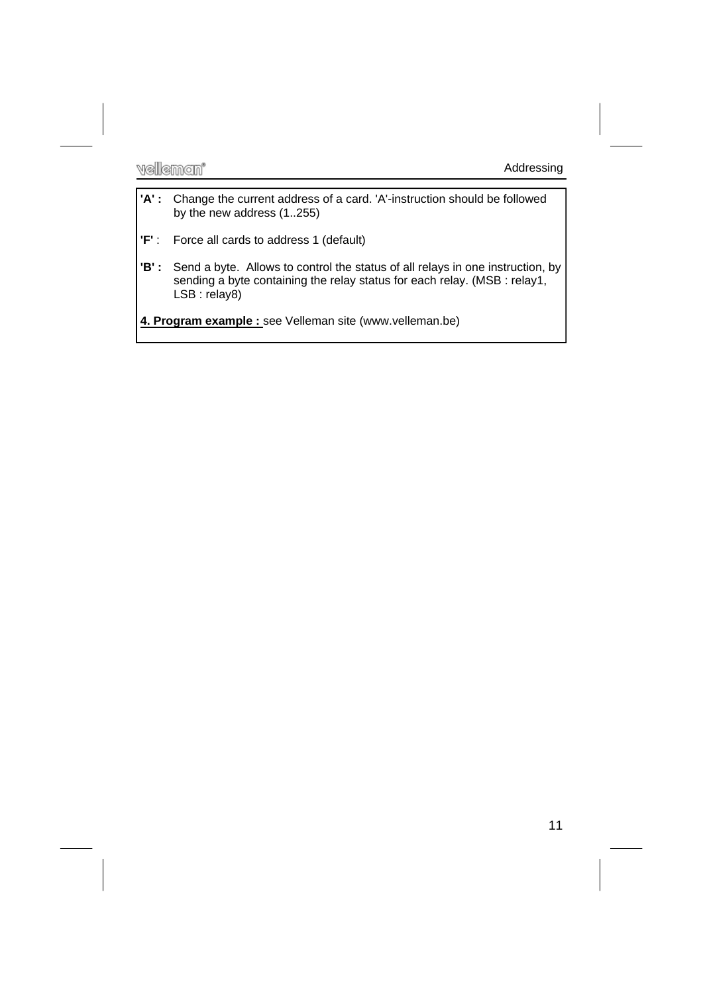- **'A' :** Change the current address of a card. 'A'-instruction should be followed by the new address (1..255)
- **'F'** : Force all cards to address 1 (default)
- 'B' : Send a byte. Allows to control the status of all relays in one instruction, by sending a byte containing the relay status for each relay. (MSB : relay1, LSB : relay8)

**4. Program example :** see Velleman site (www.velleman.be)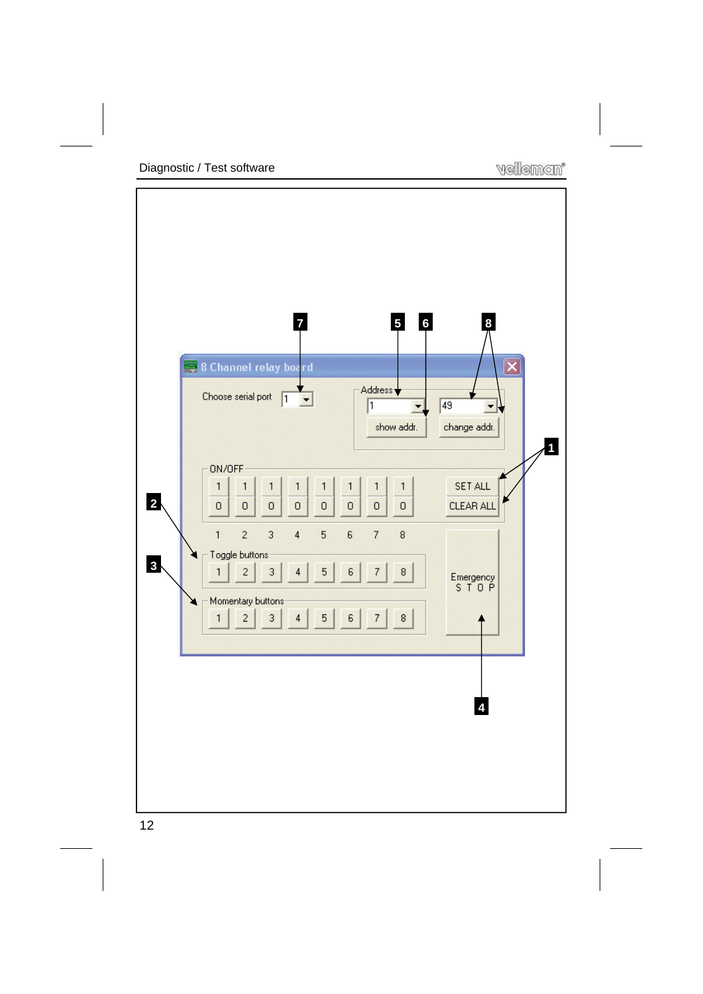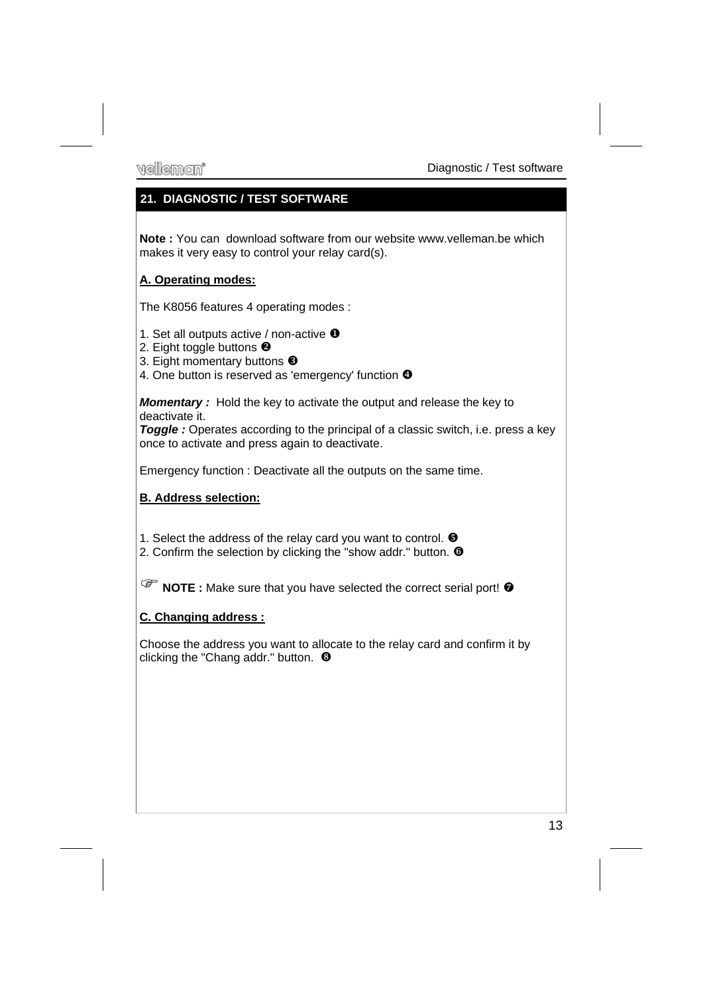## **21. DIAGNOSTIC / TEST SOFTWARE**

**Note :** You can download software from our website www.velleman.be which makes it very easy to control your relay card(s).

#### **A. Operating modes:**

The K8056 features 4 operating modes :

- 1. Set all outputs active / non-active  $\bullet$
- 2. Eight toggle buttons <sup>2</sup>
- 3. Eight momentary buttons <sup>3</sup>
- 4. One button is reserved as 'emergency' function <sup>o</sup>

*Momentary :* Hold the key to activate the output and release the key to deactivate it.

*Toggle :* Operates according to the principal of a classic switch, i.e. press a key once to activate and press again to deactivate.

Emergency function : Deactivate all the outputs on the same time.

#### **B. Address selection:**

- 1. Select the address of the relay card you want to control.  $\bullet$
- 2. Confirm the selection by clicking the "show addr." button.  $\bullet$

**P** NOTE : Make sure that you have selected the correct serial port!  $\odot$ 

#### **C. Changing address :**

Choose the address you want to allocate to the relay card and confirm it by clicking the "Chang addr." button.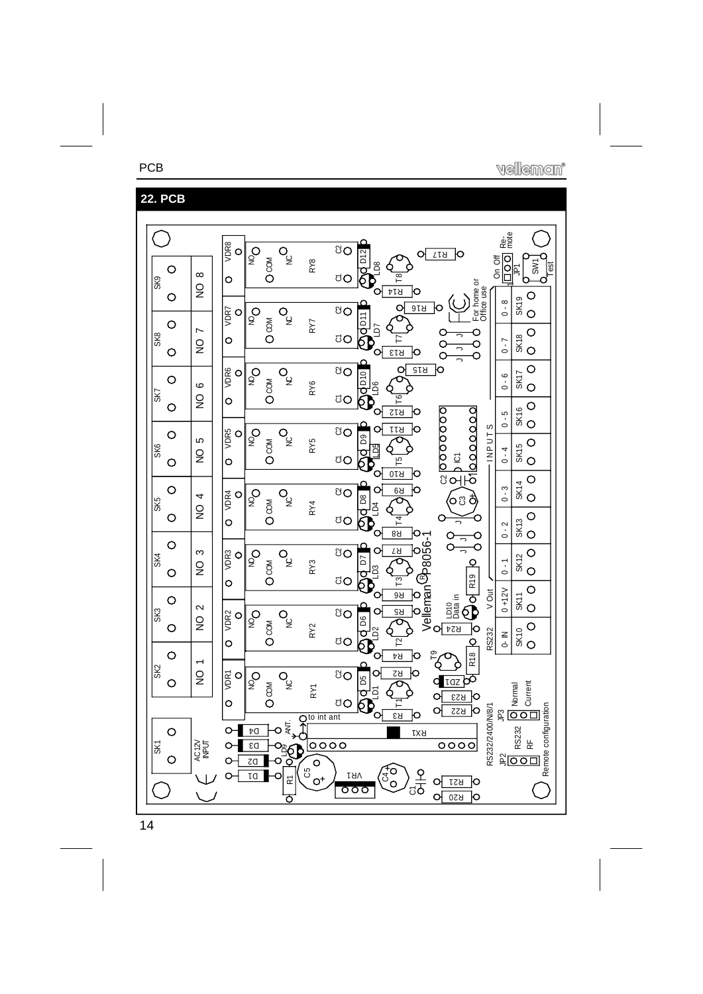# PCB

### **22. PCB**

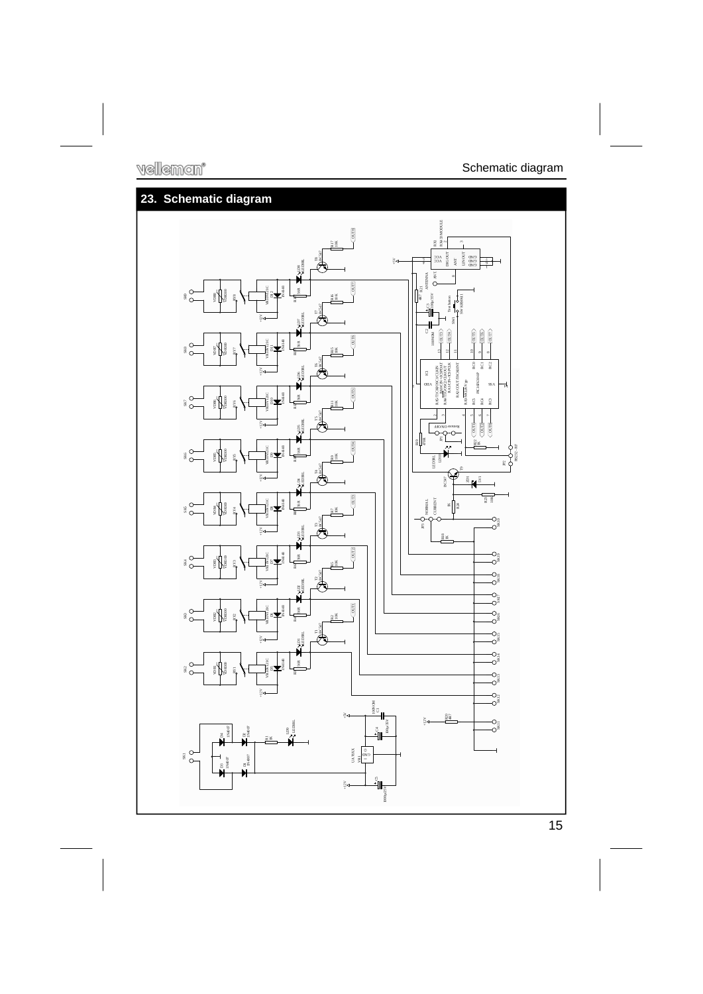## **23. Schematic diagram**